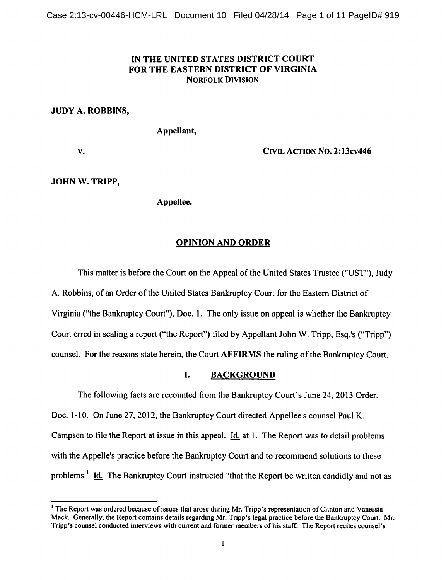# *IN THE UNITED STATES DISTRICT COURT FOR THE EASTERN DISTRICT OF VIRGINIA Norfolk Division*

# *JUDY A. ROBBINS,*

*Appellant,*

*v. Civil Action No. 2:13cv446*

# *JOHN W. TRIPP,*

*Appellee.*

# *OPINION AND ORDER*

This matter is before the Court on the Appeal of the United States Trustee ("UST"), Judy A. Robbins, of an Order of the United States Bankruptcy Court for the Eastern District of Virginia ("the Bankruptcy Court"), Doc. 1. The only issue on appeal is whether the Bankruptcy Court erred in sealing a report ("the Report") filed by Appellant John W. Tripp, Esq.'s ("Tripp") counsel. For the reasons state herein, the Court **AFFIRMS** the ruling of the Bankruptcy Court.

# I. BACKGROUND

The following facts are recounted from the Bankruptcy Court's June 24, 2013 Order. Doc. 1-10. On June 27, 2012, the Bankruptcy Court directed Appellee's counsel Paul K. Campsen to file the Report at issue in this appeal. Id. at 1. The Report was to detail problems with the Appelle's practice before the Bankruptcy Court and to recommend solutions to these problems.<sup>1</sup> Id. The Bankruptcy Court instructed "that the Report be written candidly and not as

<sup>&</sup>lt;sup>1</sup> The Report was ordered because of issues that arose during Mr. Tripp's representation of Clinton and Vanessia Mack. Generally, the Report contains details regarding Mr. Tripp's legal practice before the Bankruptcy Court. Mr. Tripp's counsel conducted interviews with current and former members of his staff. The Report recites counsel's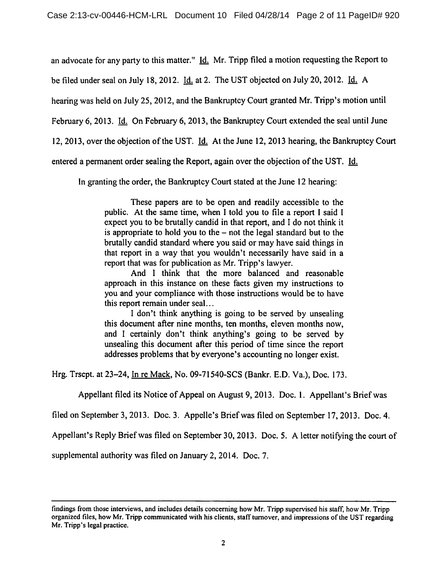an advocate for any party to this matter." Id. Mr. Tripp filed a motion requesting the Report to

be filed under seal on July 18, 2012. Id. at 2. The UST objected on July 20, 2012. Id. A

hearing was held on July 25, 2012, and the Bankruptcy Court granted Mr. Tripp's motion until

February 6, 2013. Id. On February 6, 2013, the Bankruptcy Court extended the seal until June

12, 2013, over the objection of the UST. Id. At the June 12, 2013 hearing, the Bankruptcy Court

entered a permanent order sealing the Report, again over the objection of the UST. Id.

In granting the order, the Bankruptcy Court stated at the June 12 hearing:

These papers are to be open and readily accessible to the public. At the same time, when I told you to file a report I said I expect you to be brutally candid in that report, and I do not think it is appropriate to hold you to the - not the legal standard but to the brutally candid standard where you said or may have said things in that report in a way that you wouldn't necessarily have said in a report that was for publication as Mr. Tripp's lawyer.

And I think that the more balanced and reasonable approach in this instance on these facts given my instructions to you and your compliance with those instructions would be to have this report remain under seal...

I don't think anything is going to be served by unsealing this document after nine months, ten months, eleven months now, and I certainly don't think anything's going to be served by unsealing this document after this period of time since the report addresses problems that by everyone's accounting no longer exist.

Hrg. Trscpt. at 23-24, In re Mack. No. 09-71540-SCS (Bankr. E.D. Va.), Doc. 173.

Appellant filed its Notice of Appeal on August 9, 2013. Doc. 1. Appellant's Brief was

filed on September3, 2013. Doc. 3. Appelle's Brief was filed on September 17,2013. Doc. 4.

Appellant's Reply Brief was filed on September 30, 2013. Doc. 5. A letter notifying the court of

supplemental authority was filed on January 2, 2014. Doc. 7.

findings from those interviews, and includes details concerning how Mr. Tripp supervised his staff, how Mr. Tripp organized files, how Mr. Tripp communicated with his clients, staff turnover, and impressions ofthe UST regarding Mr. Tripp's legal practice.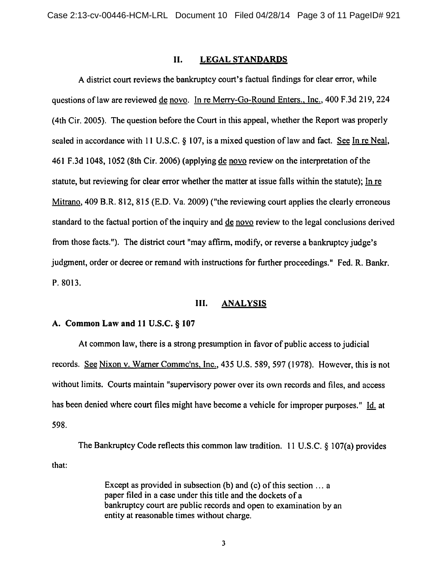#### *II. LEGAL STANDARDS*

A district court reviews the bankruptcy court's factual findings for clear error, while questions of law are reviewed de novo. In re Merry-Go-Round Enters., Inc., 400 F.3d 219, 224 (4th Cir. 2005). The question before the Court in this appeal, whether the Report was properly sealed in accordance with 11 U.S.C. § 107, is a mixed question of law and fact. See In re Neal, 461 F.3d 1048, 1052 (8th Cir. 2006) (applying de novo review on the interpretation ofthe statute, but reviewing for clear error whether the matter at issue falls within the statute); In re Mitrano. 409 B.R. 812, 815 (E.D. Va. 2009) ("the reviewing court applies the clearly erroneous standard to the factual portion of the inquiry and de novo review to the legal conclusions derived from those facts."). The district court "may affirm, modify, or reverse a bankruptcy judge's judgment, order or decree or remand with instructions for further proceedings." Fed. R. Bankr. P. 8013.

# *III. ANALYSIS*

#### *A. Common Law and 11* U.S.C. § *107*

At common law, there is a strong presumption in favor of public access to judicial records. See Nixon v. Warner Commc'ns, Inc., 435 U.S. 589, 597 (1978). However, this is not without limits. Courts maintain "supervisory power over its own records and files, and access has been denied where court files might have become a vehicle for improper purposes." Id. at 598.

The Bankruptcy Code reflects this common law tradition. 11 U.S.C. § 107(a) provides that:

> Except as provided in subsection (b) and (c) of this section  $\dots$  a paper filed in a case under this title and the dockets of a bankruptcy court are public records and open to examination by an entity at reasonable times without charge.

> > $\overline{\mathbf{3}}$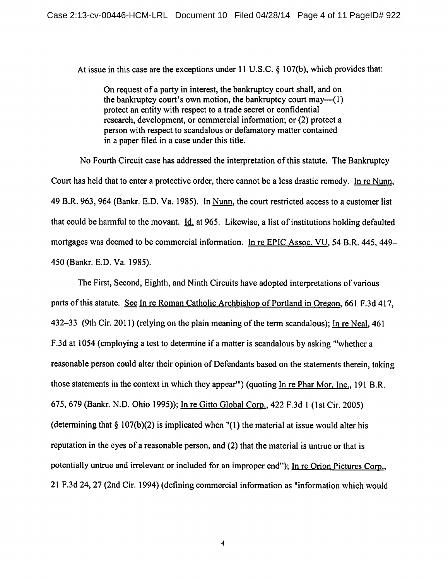At issue in this case are the exceptions under 11 U.S.C. § 107(b), which provides that:

On request of a party in interest, the bankruptcy court shall, and on the bankruptcy court's own motion, the bankruptcy court may—(1) protect an entity with respect to a trade secret or confidential research, development, or commercial information; or (2) protect a person with respect to scandalous or defamatory matter contained in a paper filed in a case under this title.

No Fourth Circuit case has addressed the interpretation of this statute. The Bankruptcy Court has held that to enter a protective order, there cannot be a less drastic remedy. In re Nunn. 49 B.R. 963,964 (Bankr. E.D. Va. 1985). In Nunn. the court restricted access to a customer list that could be harmful to the movant. Id. at 965. Likewise, a list of institutions holding defaulted mortgages was deemed to be commercial information. In re EPIC Assoc. VU, 54 B.R. 445, 449-450 (Bankr. E.D. Va. 1985).

The First, Second, Eighth, and Ninth Circuits have adopted interpretations of various parts of this statute. See In re Roman Catholic Archbishop of Portland in Oregon, 661 F.3d 417, 432-33 (9th Cir. 2011) (relying on the plain meaning of the term scandalous); In re Neal, 461 F.3d at 1054 (employing a test to determine if a matter is scandalous by asking "'whethera reasonable person could alter their opinion of Defendants based on the statements therein, taking those statements in the context in which they appear"') (quoting In re Phar Mor, Inc.. 191 B.R. 675, 679 (Bankr. N.D. Ohio 1995)); In re Gitto Global Corp.. 422 F.3d 1 (1st Cir. 2005) (determining that  $\S$  107(b)(2) is implicated when "(1) the material at issue would alter his reputation in the eyes of a reasonable person, and (2) that the material is untrue or that is potentially untrue and irrelevant or included for an improper end"); In re Orion Pictures Corp., 21 F.3d 24, 27 (2nd Cir. 1994) (defining commercial information as "information which would

 $\overline{\mathbf{4}}$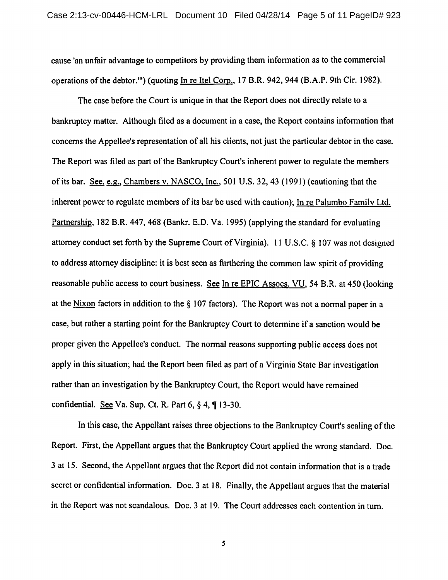cause 'an unfair advantage to competitors by providing them information as to the commercial operations of the debtor.'") (quoting In re Itel Corp., 17 B.R. 942, 944 (B.A.P. 9th Cir. 1982).

The case before the Court is unique in that the Report does not directly relate to a bankruptcy matter. Although filed as a document in a case, the Report contains information that concerns the Appellee's representation of all his clients, not just the particular debtor in the case. The Report was filed as part of the Bankruptcy Court's inherent power to regulate the members of its bar. See, e.g., Chambers v. NASCO. Inc., 501 U.S. 32, 43 (1991) (cautioning that the inherent power to regulate members of its bar be used with caution); In re Palumbo Family Ltd. Partnership, 182 B.R. 447, 468 (Bankr. E.D. Va. 1995) (applying the standard for evaluating attorney conduct set forth by the Supreme Court of Virginia). 11 U.S.C. § 107 was not designed to address attorney discipline: it is best seen as furthering the common law spirit of providing reasonable public access to court business. See In re EPIC Assocs. VU. 54 B.R. at 450 (looking at the Nixon factors in addition to the  $\S$  107 factors). The Report was not a normal paper in a case, but rather a starting point for the Bankruptcy Court to determine if a sanction would be proper given the Appellee's conduct. The normal reasons supporting public access does not apply in this situation; had the Report been filed as part of a Virginia State Bar investigation rather than an investigation by the Bankruptcy Court, the Report would have remained confidential. See Va. Sup. Ct. R. Part  $6, § 4, \P 13-30$ .

In thiscase, the Appellant raises three objections to the Bankruptcy Court's sealing of the Report. First, the Appellant argues that the Bankruptcy Court applied the wrong standard. Doc. 3 at 15. Second, the Appellant argues that the Report did not contain information that is a trade secret or confidential information. Doc. 3 at 18. Finally, the Appellant argues that the material in the Report was not scandalous. Doc. 3 at 19. The Court addresses each contention in turn.

5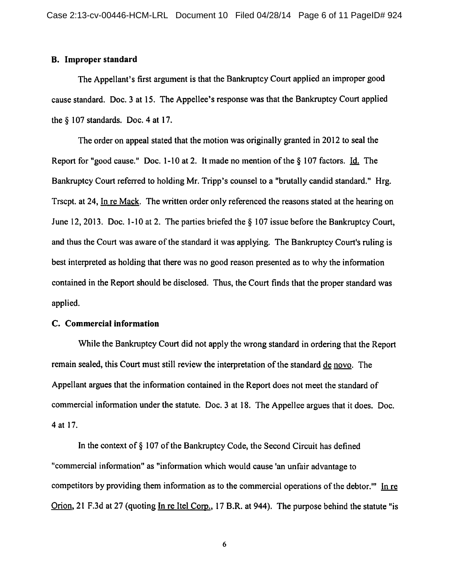#### *B. Improper standard*

The Appellant's first argument is that the Bankruptcy Court applied an improper good cause standard. Doc. 3 at 15. The Appellee's response was that the Bankruptcy Court applied the § 107 standards. Doc. 4 at 17.

The order on appeal stated that the motion was originally granted in 2012 to seal the Report for "good cause." Doc. 1-10 at 2. It made no mention of the  $\S$  107 factors. Id. The Bankruptcy Court referred to holding Mr. Tripp's counsel to a "brutally candid standard." Hrg. Trscpt. at 24, In re Mack. The written order only referenced the reasons stated at the hearing on June 12, 2013. Doc. 1-10 at 2. The parties briefed the § 107 issue before the Bankruptcy Court, and thus the Court was aware of the standard it was applying. The Bankruptcy Court's ruling is best interpreted as holding that there was no good reason presented as to why the information contained in the Report should be disclosed. Thus, the Court finds that the proper standard was applied.

#### *C. Commercial information*

While the Bankruptcy Court did not apply the wrong standard in ordering that the Report remain sealed, this Court must still review the interpretation of the standard de novo. The Appellant argues that the information contained in the Report does not meet the standard of commercial information under the statute. Doc. 3 at 18. The Appellee argues that it does. Doc. 4 at 17.

In the context of  $\S$  107 of the Bankruptcy Code, the Second Circuit has defined "commercial information" as "information which would cause 'an unfair advantage to competitors by providing them information as to the commercial operations of the debtor." In re Orion. 21 F.3d at 27 (quoting In re Itel Corp.. 17 B.R. at 944). The purpose behind the statute "is

6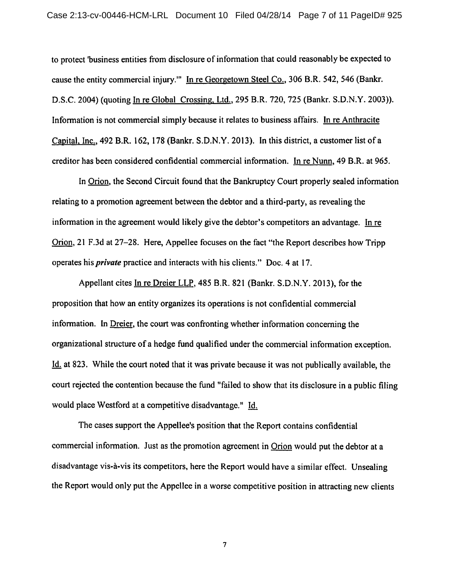to protect"business entities from disclosure of information that could reasonably be expected to cause the entity commercial injury.'" In re Georgetown Steel Co.. 306 B.R. 542, 546 (Bankr. D.S.C. 2004) (quoting In re Global Crossing. Ltd.. 295 B.R. 720, 725 (Bankr. S.D.N.Y. 2003)). Information is not commercial simply because it relates to business affairs. In re Anthracite Capital. Inc.. 492 B.R. 162, 178 (Bankr. S.D.N.Y. 2013). In this district, a customer list of a creditor has been considered confidential commercial information. In re Nunn. 49 B.R. at 965.

In Orion, the Second Circuit found that the Bankruptcy Court properly sealed information relating to a promotion agreement between the debtor and a third-party, as revealing the information in the agreement would likely give the debtor's competitors an advantage. In re Orion, 21 F.3d at 27-28. Here, Appellee focuses on the fact "the Report describes how Tripp operates his **private** practice and interacts with his clients." Doc. 4 at 17.

Appellant cites In re Dreier LLP. 485 B.R. 821 (Bankr. S.D.N.Y. 2013), for the proposition that how an entity organizes its operations is not confidential commercial information. In Dreier, the court was confronting whether information concerning the organizational structure of a hedge fund qualified under the commercial information exception. Id, at 823. While the court noted that it was private because it was not publically available, the court rejected the contention because the fund "failed to show that its disclosure in a public filing would place Westford at a competitive disadvantage." Id.

The cases support the Appellee's position that the Report contains confidential commercial information. Just as the promotion agreement in Orion would put the debtor at a disadvantage vis-à-vis its competitors, here the Report would have a similar effect. Unsealing the Report would only put the Appellee in a worse competitive position in attracting new clients

 $\overline{\tau}$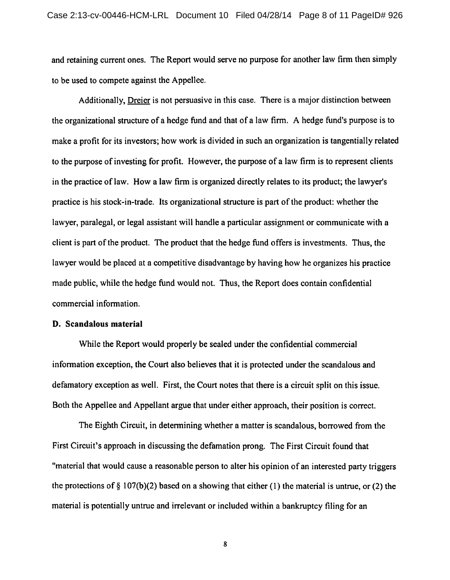and retaining current ones. The Report would serve no purpose for another law firm then simply to be used to compete against the Appellee.

Additionally, Dreier is not persuasive in this case. There is a major distinction between the organizational structure of a hedge fund and that of a law firm. A hedge fund's purpose is to make a profit for its investors; how work is divided in such an organization is tangentially related to the purpose of investing for profit. However, the purpose of a law firm is to represent clients in the practice of law. How a law firm is organized directly relates to its product; the lawyer's practice is his stock-in-trade. Its organizational structure is part of the product: whether the lawyer, paralegal, or legal assistant will handle a particular assignment or communicate with a client is part of the product. The product that the hedge fund offers is investments. Thus, the lawyer would be placed at a competitive disadvantage by having how he organizes his practice made public, while the hedge fund would not. Thus, the Report does contain confidential commercial information.

#### *D. Scandalous material*

While the Report would properly be sealed under the confidential commercial information exception, the Court also believes that it is protected under the scandalous and defamatory exception as well. First, the Court notes that there is a circuit split on this issue. Both the Appellee and Appellant argue that under either approach, their position is correct.

The Eighth Circuit, in determining whether a matter is scandalous, borrowed from the First Circuit's approach in discussing the defamation prong. The First Circuit found that "material that would cause a reasonable person to alter his opinion of an interested party triggers the protections of § 107(b)(2) based on a showing that either (1) the material is untrue, or (2) the material is potentially untrue and irrelevant or included within a bankruptcy filing for an

 $\pmb{8}$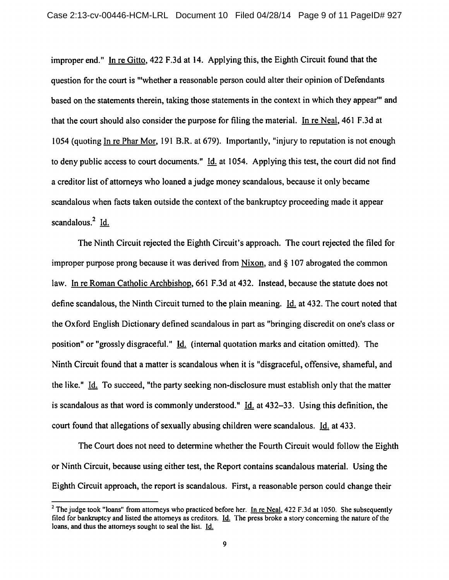improper end." In re Gitto, 422 F.3d at 14. Applying this, the Eighth Circuit found that the question for the court is "'whether a reasonable person could alter their opinion of Defendants based on the statements therein, taking those statements in the context in which they appear" and that the court should also consider the purpose for filing the material. In re Neal. 461 F.3d at 1054 (quoting In re Phar Mor, 191 B.R. at 679). Importantly, "injury to reputation is not enough to deny public access to court documents." Id. at 1054. Applying this test, the court did not find a creditor list of attorneys who loaned a judge money scandalous, because it only became scandalous when facts taken outside the context of the bankruptcy proceeding made it appear scandalous. $^{2}$  Id.

The Ninth Circuit rejected the Eighth Circuit's approach. The court rejected the filed for improper purpose prong because it was derived from Nixon, and § 107 abrogated the common law. In re Roman Catholic Archbishop. 661 F.3d at 432. Instead, because the statute does not define scandalous, the Ninth Circuit turned to the plain meaning. Id. at 432. The court noted that the Oxford English Dictionary defined scandalous in part as "bringing discredit on one's class or position" or "grossly disgraceful." Id. (internal quotation marks and citation omitted). The Ninth Circuit found that a matter is scandalous when it is "disgraceful, offensive, shameful, and the like." Id. To succeed, "the party seeking non-disclosure must establish only that the matter is scandalous as that word is commonly understood."  $\underline{Id}$  at 432-33. Using this definition, the court found that allegations of sexually abusing children were scandalous. Id. at 433.

The Court does not need to determine whether the Fourth Circuit would follow the Eighth or Ninth Circuit, because using either test, the Report contains scandalous material. Using the Eighth Circuit approach, the report is scandalous. First, a reasonable person could change their

<sup>&</sup>lt;sup>2</sup> The judge took "loans" from attorneys who practiced before her. In re Neal,  $422$  F.3d at 1050. She subsequently filed for bankruptcy and listed the attorneys as creditors. Id. The press broke a story concerning the nature of the loans, and thus the attorneys sought to seal the list. Jd.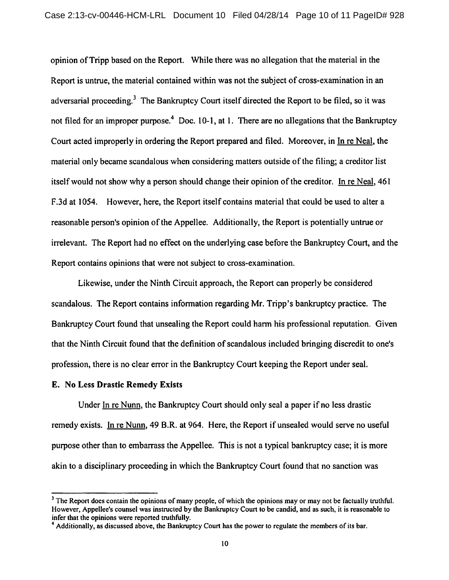opinion ofTripp based on the Report. While there was no allegation that the material in the Report is untrue, the material contained within was not the subject of cross-examination in an adversarial proceeding.<sup>3</sup> The Bankruptcy Court itself directed the Report to be filed, so it was not filed for an improper purpose.<sup>4</sup> Doc. 10-1, at 1. There are no allegations that the Bankruptcy Court acted improperly in ordering the Report prepared and filed. Moreover, in In re Neal. the material only became scandalous when considering matters outside of the filing; a creditor list itself would not show why a person should change their opinion of the creditor. In re Neal, 461 F.3d at 1054. However, here, the Report itself contains material that could be used to alter a reasonable person's opinion of the Appellee. Additionally, the Report is potentially untrue or irrelevant. The Report had no effect on the underlying case before the Bankruptcy Court, and the Report contains opinions that were not subject to cross-examination.

Likewise, under the Ninth Circuit approach, the Report can properly be considered scandalous. The Report contains information regarding Mr. Tripp's bankruptcy practice. The Bankruptcy Court found that unsealing the Report could harm his professional reputation. Given that the Ninth Circuit found that the definition of scandalous included bringing discredit to one's profession, there is no clear error in the Bankruptcy Court keeping the Report under seal.

# *E. No Less Drastic Remedy Exists*

Under In re Nunn, the Bankruptcy Court should only seal a paper if no less drastic remedy exists. In re Nunn. 49 B.R. at 964. Here, the Report if unsealed would serve no useful purpose other than to embarrass the Appellee. This is not a typical bankruptcy case; it is more akin to a disciplinary proceeding in which the Bankruptcy Court found that no sanction was

<sup>&</sup>lt;sup>3</sup> The Report does contain the opinions of many people, of which the opinions may or may not be factually truthful. However, Appellee's counsel was instructed by the Bankruptcy Court to be candid, and as such, it is reasonable to infer that the opinions were reported truthfully.

<sup>&</sup>lt;sup>4</sup> Additionally, as discussed above, the Bankruptcy Court has the power to regulate the members of its bar.